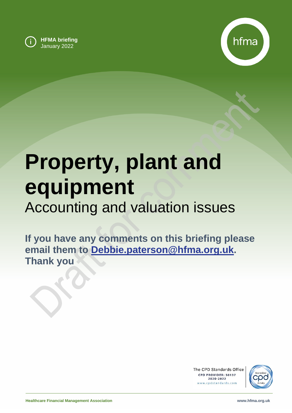



# **Property, plant and equipment** Accounting and valuation issues

**If you have any comments on this briefing please email them to [Debbie.paterson@hfma.org.uk.](mailto:Debbie.paterson@hfma.org.uk) Thank you**

> The CPD Standards Office CPD PROVIDER: 50137 2020-2022 www.cpdstandards.com

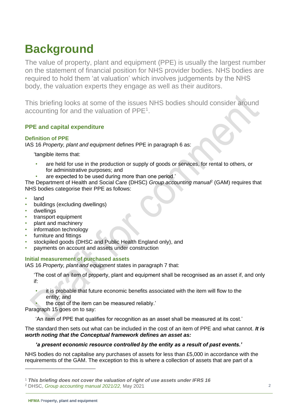# **Background**

The value of property, plant and equipment (PPE) is usually the largest number on the statement of financial position for NHS provider bodies. NHS bodies are required to hold them 'at valuation' which involves judgements by the NHS body, the valuation experts they engage as well as their auditors.

This briefing looks at some of the issues NHS bodies should consider around accounting for and the valuation of  $PPE<sup>1</sup>$ .

# **PPE and capital expenditure**

# **Definition of PPE**

IAS 16 *Property, plant and equipment* defines PPE in paragraph 6 as:

'tangible items that:

- are held for use in the production or supply of goods or services, for rental to others, or for administrative purposes; and
	- are expected to be used during more than one period.'

The Department of Health and Social Care (DHSC) Group accounting manua<sup>p</sup> (GAM) requires that NHS bodies categorise their PPE as follows:

- land
- buildings (excluding dwellings)
- dwellings
- transport equipment
- plant and machinery
- information technology
- furniture and fittings
- stockpiled goods (DHSC and Public Health England only), and
- payments on account and assets under construction

# **Initial measurement of purchased assets**

IAS 16 *Property, plant and equipment* states in paragraph 7 that:

'The cost of an item of property, plant and equipment shall be recognised as an asset if, and only if:

- it is probable that future economic benefits associated with the item will flow to the entity; and
- the cost of the item can be measured reliably.'

Paragraph 15 goes on to say:

'An item of PPE that qualifies for recognition as an asset shall be measured at its cost.'

The standard then sets out what can be included in the cost of an item of PPE and what cannot. *It is worth noting that the Conceptual framework defines an asset as:*

# *'a present economic resource controlled by the entity as a result of past events.'*

NHS bodies do not capitalise any purchases of assets for less than £5,000 in accordance with the requirements of the GAM. The exception to this is where a collection of assets that are part of a

<sup>1</sup> *This briefing does not cover the valuation of right of use assets under IFRS 16*

<sup>2</sup> DHSC, *[Group accounting manual 2021/22,](https://www.gov.uk/government/collections/department-of-health-group-accounting-guidance)* May 2021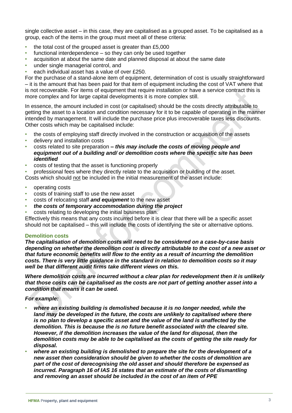single collective asset – in this case, they are capitalised as a grouped asset. To be capitalised as a group, each of the items in the group must meet all of these criteria:

- the total cost of the grouped asset is greater than £5,000
- functional interdependence so they can only be used together
- acquisition at about the same date and planned disposal at about the same date
- under single managerial control, and
- each individual asset has a value of over £250.

For the purchase of a stand-alone item of equipment, determination of cost is usually straightforward – it is the amount that has been paid for that item of equipment including the cost of VAT where that is not recoverable. For items of equipment that require installation or have a service contract this is more complex and for large capital developments it is more complex still.

In essence, the amount included in cost (or capitalised) should be the costs directly attributable to getting the asset to a location and condition necessary for it to be capable of operating in the manner intended by management. It will include the purchase price plus irrecoverable taxes less discounts. Other costs which may be capitalised include:

- the costs of employing staff directly involved in the construction or acquisition of the assets
- delivery and installation costs
- costs related to site preparation *– this may include the costs of moving people and equipment out of a building and/ or demolition costs where the specific site has been identified*
- costs of testing that the asset is functioning properly

• professional fees where they directly relate to the acquisition or building of the asset. Costs which should not be included in the initial measurement of the asset include:

- operating costs
- costs of training staff to use the new asset
- costs of relocating staff *and equipment* to the new asset
- *the costs of temporary accommodation during the project*
- costs relating to developing the initial business plan.

Effectively this means that any costs incurred before it is clear that there will be a specific asset should not be capitalised – this will include the costs of identifying the site or alternative options.

# **Demolition costs**

*The capitalisation of demolition costs will need to be considered on a case-by-case basis depending on whether the demolition cost is directly attributable to the cost of a new asset or that future economic benefits will flow to the entity as a result of incurring the demolition costs. There is very little guidance in the standard in relation to demolition costs so it may well be that different audit firms take different views on this.* 

*Where demolition costs are incurred without a clear plan for redevelopment then it is unlikely that those costs can be capitalised as the costs are not part of getting another asset into a condition that means it can be used.*

#### *For example:*

- *where an existing building is demolished because it is no longer needed, while the*  land may be developed in the future, the costs are unlikely to capitalised where there *is no plan to develop a specific asset and the value of the land is unaffected by the demolition. This is because the is no future benefit associated with the cleared site. However, if the demolition increases the value of the land for disposal, then the demolition costs may be able to be capitalised as the costs of getting the site ready for disposal.*
- *where an existing building is demolished to prepare the site for the development of a new asset then consideration should be given to whether the costs of demolition are part of the cost of derecognising the old asset and should therefore be expensed as incurred. Paragraph 16 of IAS 16 states that an estimate of the costs of dismantling and removing an asset should be included in the cost of an item of PPE*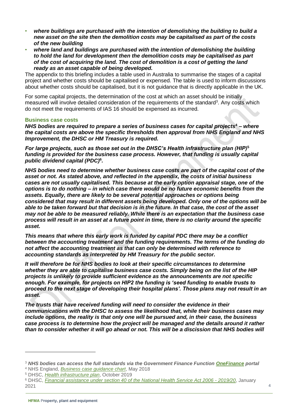- *where buildings are purchased with the intention of demolishing the building to build a new asset on the site then the demolition costs may be capitalised as part of the costs of the new building*
- *where land and buildings are purchased with the intention of demolishing the building to hold the land for development then the demolition costs may be capitalised as part of the cost of acquiring the land. The cost of demolition is a cost of getting the land ready as an asset capable of being developed.*

The appendix to this briefing includes a table used in Australia to summarise the stages of a capital project and whether costs should be capitalised or expensed. The table is used to inform discussions about whether costs should be capitalised, but it is not guidance that is directly applicable in the UK.

For some capital projects, the determination of the cost at which an asset should be initially measured will involve detailed consideration of the requirements of the standard<sup>3</sup>. Any costs which do not meet the requirements of IAS 16 should be expensed as incurred.

#### **Business case costs**

*NHS bodies are required to prepare a series of business cases for capital projects***<sup>4</sup>** *– where the capital costs are above the specific thresholds then approval from NHS England and NHS Improvement, the DHSC or HM Treasury is required.*

*For large projects, such as those set out in the DHSC's Health infrastructure plan (HIP)***<sup>5</sup>** *funding is provided for the business case process. However, that funding is usually capital public dividend capital (PDC)***<sup>6</sup>** *.*

*NHS bodies need to determine whether business case costs are part of the capital cost of the asset or not. As stated above, and reflected in the appendix, the costs of initial business cases are not usually capitalised. This because at the early option appraisal stage, one of the options is to do nothing – in which case there would be no future economic benefits from the assets. Equally, there are likely to be several potential approaches or options being considered that may result in different assets being developed. Only one of the options will be able to be taken forward but that decision is in the future. In that case, the cost of the asset may not be able to be measured reliably. While there is an expectation that the business case process will result in an asset at a future point in time, there is no clarity around the specific asset.*

*This means that where this early work is funded by capital PDC there may be a conflict between the accounting treatment and the funding requirements. The terms of the funding do not affect the accounting treatment as that can only be determined with reference to accounting standards as interpreted by HM Treasury for the public sector.*

*It will therefore be for NHS bodies to look at their specific circumstances to determine whether they are able to capitalise business case costs. Simply being on the list of the HIP projects is unlikely to provide sufficient evidence as the announcements are not specific enough. For example, for projects on HIP2 the funding is 'seed funding to enable trusts to proceed to the next stage of developing their hospital plans'. Those plans may not result in an asset.* 

*The trusts that have received funding will need to consider the evidence in their communications with the DHSC to assess the likelihood that, while their business cases may include options, the reality is that only one will be pursued and, in their case, the business case process is to determine how the project will be managed and the details around it rather than to consider whether it will go ahead or not. This will be a discission that NHS bodies will* 

<sup>3</sup> *NHS bodies can access the full standards via the Government Finance Function [OneFinance](https://gff.civilservice.gov.uk/) portal* <sup>4</sup> NHS England, *[Business case guidance chart](https://www.england.nhs.uk/wp-content/uploads/2018/10/a2p-stages-of-bc-process-table.pdf)*, May 2018

<sup>5</sup> DHSC, *[Health infrastructure plan](https://assets.publishing.service.gov.uk/government/uploads/system/uploads/attachment_data/file/835657/health-infrastructure-plan.pdf)*, October 2019

<sup>6</sup> DHSC, *[Financial assistance under section 40 of the National Health Service Act 2006 -](https://assets.publishing.service.gov.uk/government/uploads/system/uploads/attachment_data/file/956829/Financial_assistance_under_section_40_of_the_National_Health_Service_Act_2006_-_2019_to_2020.pdf) 2019/20*, January 2021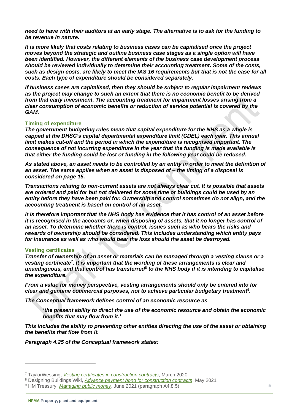*need to have with their auditors at an early stage. The alternative is to ask for the funding to be revenue in nature.*

*It is more likely that costs relating to business cases can be capitalised once the project moves beyond the strategic and outline business case stages as a single option will have been identified. However, the different elements of the business case development process should be reviewed individually to determine their accounting treatment. Some of the costs, such as design costs, are likely to meet the IAS 16 requirements but that is not the case for all costs. Each type of expenditure should be considered separately.* 

*If business cases are capitalised, then they should be subject to regular impairment reviews*  as the project may change to such an extent that there is no economic benefit to be derived *from that early investment. The accounting treatment for impairment losses arising from a clear consumption of economic benefits or reduction of service potential is covered by the GAM.*

#### **Timing of expenditure**

*The government budgeting rules mean that capital expenditure for the NHS as a whole is capped at the DHSC's capital departmental expenditure limit (CDEL) each year. This annual limit makes cut-off and the period in which the expenditure is recognised important. The consequence of not incurring expenditure in the year that the funding is made available is that either the funding could be lost or funding in the following year could be reduced.* 

*As stated above, an asset needs to be controlled by an entity in order to meet the definition of an asset. The same applies when an asset is disposed of – the timing of a disposal is considered on page [15.](#page-14-0)*

*Transactions relating to non-current assets are not always clear cut. It is possible that assets are ordered and paid for but not delivered for some time or buildings could be used by an entity before they have been paid for. Ownership and control sometimes do not align, and the accounting treatment is based on control of an asset.*

*It is therefore important that the NHS body has evidence that it has control of an asset before it is recognised in the accounts or, when disposing of assets, that it no longer has control of an asset. To determine whether there is control, issues such as who bears the risks and rewards of ownership should be considered. This includes understanding which entity pays for insurance as well as who would bear the loss should the asset be destroyed.*

#### **Vesting certificates**

*Transfer of ownership of an asset or materials can be managed through a vesting clause or a vesting certificate***<sup>7</sup>** *. It is important that the wording of these arrangements is clear and unambiguous, and that control has transferred***<sup>8</sup>** *to the NHS body if it is intending to capitalise the expenditure.* 

*From a value for money perspective, vesting arrangements should only be entered into for clear and genuine commercial purposes, not to achieve particular budgetary treatment***<sup>9</sup>** *.*

*The Conceptual framework defines control of an economic resource as* 

*'the present ability to direct the use of the economic resource and obtain the economic benefits that may flow from it.'*

*This includes the ability to preventing other entities directing the use of the asset or obtaining the benefits that flow from it.* 

*Paragraph 4.25 of the Conceptual framework states:*

<sup>7</sup> TaylorWessing, *[Vesting certificates in construction contracts](https://www.taylorwessing.com/en/insights-and-events/insights/2020/03/vesting-certificates-in-construction-contracts)*, March 2020

<sup>8</sup> Designing Buildings Wiki, *[Advance payment bond for construction contracts](https://www.designingbuildings.co.uk/wiki/Advance_payment_bond_for_construction_contracts)*, May 2021

<sup>9</sup> HM Treasury, *[Managing public money](https://assets.publishing.service.gov.uk/government/uploads/system/uploads/attachment_data/file/1000670/MPM_Spring_21_with_annexes_080721.pdf)*, June 2021 (paragraph A4.8.5)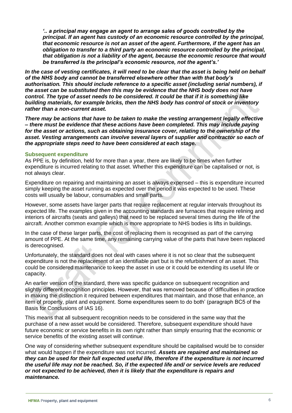*'.. a principal may engage an agent to arrange sales of goods controlled by the principal. If an agent has custody of an economic resource controlled by the principal, that economic resource is not an asset of the agent. Furthermore, if the agent has an obligation to transfer to a third party an economic resource controlled by the principal, that obligation is not a liability of the agent, because the economic resource that would be transferred is the principal's economic resource, not the agent's.'*

In the case of vesting certificates, it will need to be clear that the asset is being held on behalf *of the NHS body and cannot be transferred elsewhere other than with that body's authorisation. This should include reference to a specific asset (including serial numbers), if the asset can be substituted then this may be evidence that the NHS body does not have control. The type of asset needs to be considered. It could be that if it is something like building materials, for example bricks, then the NHS body has control of stock or inventory rather than a non-current asset.* 

*There may be actions that have to be taken to make the vesting arrangement legally effective – there must be evidence that these actions have been completed. This may include paying for the asset or actions, such as obtaining insurance cover, relating to the ownership of the asset. Vesting arrangements can involve several layers of supplier and contractor so each of the appropriate steps need to have been considered at each stage.*

#### **Subsequent expenditure**

As PPE is, by definition, held for more than a year, there are likely to be times when further expenditure is incurred relating to that asset. Whether this expenditure can be capitalised or not, is not always clear.

Expenditure on repairing and maintaining an asset is always expensed – this is expenditure incurred simply keeping the asset running as expected over the period it was expected to be used. These costs will usually be labour, consumables and small parts.

However, some assets have larger parts that require replacement at regular intervals throughout its expected life. The examples given in the accounting standards are furnaces that require relining and interiors of aircrafts (seats and galleys) that need to be replaced several times during the life of the aircraft. Another common example which is more appropriate to NHS bodies is lifts in buildings.

In the case of these larger parts, the cost of replacing them is recognised as part of the carrying amount of PPE. At the same time, any remaining carrying value of the parts that have been replaced is derecognised.

Unfortunately, the standard does not deal with cases where it is not so clear that the subsequent expenditure is not the replacement of an identifiable part but is the refurbishment of an asset. This could be considered maintenance to keep the asset in use or it could be extending its useful life or capacity.

An earlier version of the standard, there was specific guidance on subsequent recognition and slightly different recognition principles. However, that was removed because of 'difficulties in practice in making the distinction it required between expenditures that maintain, and those that enhance, an item of property, plant and equipment. Some expenditures seem to do both' (paragraph BC5 of the Basis for Conclusions of IAS 16).

This means that all subsequent recognition needs to be considered in the same way that the purchase of a new asset would be considered. Therefore, subsequent expenditure should have future economic or service benefits in its own right rather than simply ensuring that the economic or service benefits of the existing asset will continue.

One way of considering whether subsequent expenditure should be capitalised would be to consider what would happen if the expenditure was not incurred. *Assets are repaired and maintained so they can be used for their full expected useful life, therefore if the expenditure is not incurred the useful life may not be reached. So, if the expected life and/ or service levels are reduced or not expected to be achieved, then it is likely that the expenditure is repairs and maintenance.*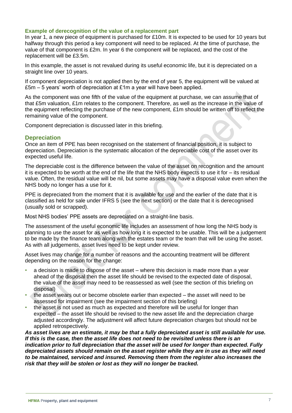#### **Example of derecognition of the value of a replacement part**

In year 1, a new piece of equipment is purchased for £10m. It is expected to be used for 10 years but halfway through this period a key component will need to be replaced. At the time of purchase, the value of that component is £2m. In year 6 the component will be replaced, and the cost of the replacement will be £3.5m.

In this example, the asset is not revalued during its useful economic life, but it is depreciated on a straight line over 10 years.

If component depreciation is not applied then by the end of year 5, the equipment will be valued at £5m – 5 years' worth of depreciation at £1m a year will have been applied.

As the component was one fifth of the value of the equipment at purchase, we can assume that of that £5m valuation, £1m relates to the component. Therefore, as well as the increase in the value of the equipment reflecting the purchase of the new component, £1m should be written off to reflect the remaining value of the component.

Component depreciation is discussed later in this briefing.

# **Depreciation**

Once an item of PPE has been recognised on the statement of financial position, it is subject to depreciation. Depreciation is the systematic allocation of the depreciable cost of the asset over its expected useful life.

The depreciable cost is the difference between the value of the asset on recognition and the amount it is expected to be worth at the end of the life that the NHS body expects to use it for – its residual value. Often, the residual value will be nil, but some assets may have a disposal value even when the NHS body no longer has a use for it.

PPE is depreciated from the moment that it is available for use and the earlier of the date that it is classified as held for sale under IFRS 5 (see the next section) or the date that it is derecognised (usually sold or scrapped).

Most NHS bodies' PPE assets are depreciated on a straight-line basis.

The assessment of the useful economic life includes an assessment of how long the NHS body is planning to use the asset for as well as how long it is expected to be usable. This will be a judgement to be made by the finance team along with the estates team or the team that will be using the asset. As with all judgements, asset lives need to be kept under review.

Asset lives may change for a number of reasons and the accounting treatment will be different depending on the reason for the change:

- a decision is made to dispose of the asset where this decision is made more than a year ahead of the disposal then the asset life should be revised to the expected date of disposal, the value of the asset may need to be reassessed as well (see the section of this briefing on disposal)
- the asset wears out or become obsolete earlier than expected the asset will need to be assessed for impairment (see the impairment section of this briefing)
- the asset is not used as much as expected and therefore will be useful for longer than expected – the asset life should be revised to the new asset life and the depreciation charge adjusted accordingly. The adjustment will affect future depreciation charges but should not be applied retrospectively.

*As asset lives are an estimate, it may be that a fully depreciated asset is still available for use. If this is the case, then the asset life does not need to be revisited unless there is an indication prior to full depreciation that the asset will be used for longer than expected. Fully depreciated assets should remain on the asset register while they are in use as they will need to be maintained, serviced and insured. Removing them from the register also increases the risk that they will be stolen or lost as they will no longer be tracked.*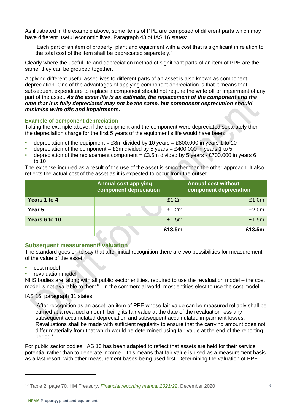As illustrated in the example above, some items of PPE are composed of different parts which may have different useful economic lives. Paragraph 43 of IAS 16 states:

'Each part of an item of property, plant and equipment with a cost that is significant in relation to the total cost of the item shall be depreciated separately.'

Clearly where the useful life and depreciation method of significant parts of an item of PPE are the same, they can be grouped together.

Applying different useful asset lives to different parts of an asset is also known as component depreciation. One of the advantages of applying component depreciation is that it means that subsequent expenditure to replace a component should not require the write off or impairment of any part of the asset. *As the asset life is an estimate, the replacement of the component and the date that it is fully depreciated may not be the same, but component depreciation should minimise write offs and impairments.*

#### **Example of component depreciation**

Taking the example above, if the equipment and the component were depreciated separately then the depreciation charge for the first 5 years of the equipment's life would have been:

- depreciation of the equipment =  $£8m$  divided by 10 years =  $£800,000$  in years 1 to 10
- depreciation of the component = £2m divided by 5 years = £400,000 in years 1 to 5
- depreciation of the replacement component =  $£3.5m$  divided by 5 years £700,000 in years 6 to 10

The expense incurred as a result of the use of the asset is smoother than the other approach. It also reflects the actual cost of the asset as it is expected to occur from the outset.

|               | <b>Annual cost applying</b><br>component depreciation | <b>Annual cost without</b><br>component depreciation |
|---------------|-------------------------------------------------------|------------------------------------------------------|
| Years 1 to 4  | £1.2m                                                 | £1.0m                                                |
| Year 5        | £1.2m                                                 | £2.0m                                                |
| Years 6 to 10 | £1.5m                                                 | £1.5m                                                |
|               | £13.5m                                                | £13.5m                                               |

# **Subsequent measurement/ valuation**

The standard goes on to say that after initial recognition there are two possibilities for measurement of the value of the asset:

- cost model
- revaluation model

NHS bodies are, along with all public sector entities, required to use the revaluation model – the cost model is not available to them<sup>10</sup>. In the commercial world, most entities elect to use the cost model.

#### IAS 16, paragraph 31 states

'After recognition as an asset, an item of PPE whose fair value can be measured reliably shall be carried at a revalued amount, being its fair value at the date of the revaluation less any subsequent accumulated depreciation and subsequent accumulated impairment losses. Revaluations shall be made with sufficient regularity to ensure that the carrying amount does not differ materially from that which would be determined using fair value at the end of the reporting period.'

For public sector bodies, IAS 16 has been adapted to reflect that assets are held for their service potential rather than to generate income – this means that fair value is used as a measurement basis as a last resort, with other measurement bases being used first. Determining the valuation of PPE

<sup>10</sup> Table 2, page 70, HM Treasury, *[Financial reporting manual 2021/22](https://assets.publishing.service.gov.uk/government/uploads/system/uploads/attachment_data/file/946955/MASTER_2021-22_FReM.pdf)*, December 2020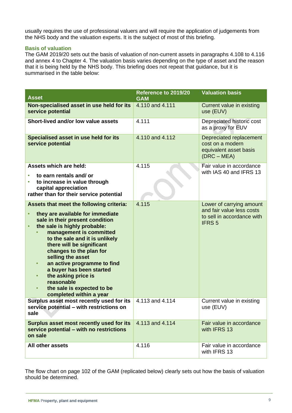usually requires the use of professional valuers and will require the application of judgements from the NHS body and the valuation experts. It is the subject of most of this briefing.

#### **Basis of valuation**

The GAM 2019/20 sets out the basis of valuation of non-current assets in paragraphs 4.108 to 4.116 and annex 4 to Chapter 4. The valuation basis varies depending on the type of asset and the reason that it is being held by the NHS body. This briefing does not repeat that guidance, but it is summarised in the table below:

| <b>Asset</b>                                                                                                                                                                                                                                                                                                                                                                                                                                                                                                        | Reference to 2019/20<br><b>GAM</b> | <b>Valuation basis</b>                                                                              |
|---------------------------------------------------------------------------------------------------------------------------------------------------------------------------------------------------------------------------------------------------------------------------------------------------------------------------------------------------------------------------------------------------------------------------------------------------------------------------------------------------------------------|------------------------------------|-----------------------------------------------------------------------------------------------------|
| Non-specialised asset in use held for its<br>service potential                                                                                                                                                                                                                                                                                                                                                                                                                                                      | 4.110 and 4.111                    | Current value in existing<br>use (EUV)                                                              |
| Short-lived and/or low value assets                                                                                                                                                                                                                                                                                                                                                                                                                                                                                 | 4.111                              | Depreciated historic cost<br>as a proxy for EUV                                                     |
| Specialised asset in use held for its<br>service potential                                                                                                                                                                                                                                                                                                                                                                                                                                                          | 4.110 and 4.112                    | Depreciated replacement<br>cost on a modern<br>equivalent asset basis<br>$(DRC - MEA)$              |
| <b>Assets which are held:</b><br>to earn rentals and/or                                                                                                                                                                                                                                                                                                                                                                                                                                                             | 4.115                              | Fair value in accordance<br>with IAS 40 and IFRS 13                                                 |
| to increase in value through<br>$\bullet$<br>capital appreciation<br>rather than for their service potential                                                                                                                                                                                                                                                                                                                                                                                                        |                                    |                                                                                                     |
| Assets that meet the following criteria:<br>they are available for immediate<br>$\bullet$<br>sale in their present condition<br>the sale is highly probable:<br>$\bullet$<br>management is committed<br>to the sale and it is unlikely<br>there will be significant<br>changes to the plan for<br>selling the asset<br>an active programme to find<br>$\bullet$<br>a buyer has been started<br>the asking price is<br>$\bullet$<br>reasonable<br>the sale is expected to be<br>$\bullet$<br>completed within a year | 4.115                              | Lower of carrying amount<br>and fair value less costs<br>to sell in accordance with<br><b>IFRS5</b> |
| Surplus asset most recently used for its<br>service potential - with restrictions on<br>sale                                                                                                                                                                                                                                                                                                                                                                                                                        | 4.113 and 4.114                    | Current value in existing<br>use (EUV)                                                              |
| Surplus asset most recently used for its<br>service potential - with no restrictions<br>on sale                                                                                                                                                                                                                                                                                                                                                                                                                     | 4.113 and 4.114                    | Fair value in accordance<br>with IFRS 13                                                            |
| All other assets                                                                                                                                                                                                                                                                                                                                                                                                                                                                                                    | 4.116                              | Fair value in accordance<br>with IFRS 13                                                            |

The flow chart on page 102 of the GAM (replicated below) clearly sets out how the basis of valuation should be determined.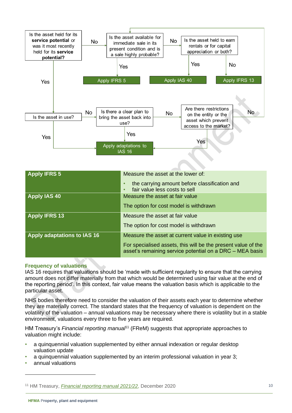

| Measure the asset at the lower of:                                                                                        |
|---------------------------------------------------------------------------------------------------------------------------|
| the carrying amount before classification and<br>fair value less costs to sell                                            |
| Measure the asset at fair value                                                                                           |
| The option for cost model is withdrawn                                                                                    |
| Measure the asset at fair value                                                                                           |
| The option for cost model is withdrawn                                                                                    |
| Measure the asset at current value in existing use                                                                        |
| For specialised assets, this will be the present value of the<br>asset's remaining service potential on a DRC - MEA basis |
|                                                                                                                           |

#### **Frequency of valuations**

IAS 16 requires that valuations should be 'made with sufficient regularity to ensure that the carrying amount does not differ materially from that which would be determined using fair value at the end of the reporting period'. In this context, fair value means the valuation basis which is applicable to the particular asset.

NHS bodies therefore need to consider the valuation of their assets each year to determine whether they are materially correct. The standard states that the frequency of valuation is dependent on the volatility of the valuation – annual valuations may be necessary where there is volatility but in a stable environment, valuations every three to five years are required.

HM Treasury's *Financial reporting manual*<sup>11</sup> (FReM) suggests that appropriate approaches to valuation might include:

- a quinquennial valuation supplemented by either annual indexation or regular desktop valuation update
- a quinquennial valuation supplemented by an interim professional valuation in year 3;
- annual valuations

<sup>11</sup> HM Treasury, *[Financial reporting manual 2021/22](https://www.gov.uk/government/collections/government-financial-reporting-manual-frem)*, December 2020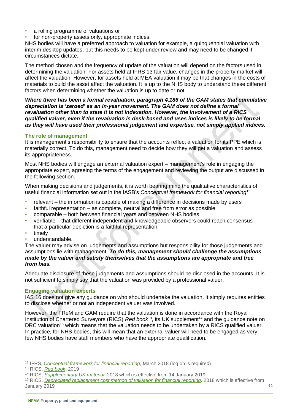- a rolling programme of valuations or
- for non-property assets only, appropriate indices.

NHS bodies will have a preferred approach to valuation for example, a quinquennial valuation with interim desktop updates, but this needs to be kept under review and may need to be changed if circumstances dictate.

The method chosen and the frequency of update of the valuation will depend on the factors used in determining the valuation. For assets held at IFRS 13 fair value, changes in the property market will affect the valuation. However, for assets held at MEA valuation it may be that changes in the costs of materials to build the asset affect the valuation. It is up to the NHS body to understand these different factors when determining whether the valuation is up to date or not.

*Where there has been a formal revaluation, paragraph 4.186 of the GAM states that cumulative depreciation is 'zeroed' as an in-year movement. The GAM does not define a formal revaluation other than to state it is not indexation. However, the involvement of a RICS qualified valuer, even if the revaluation is desk-based and uses indices is likely to be formal as they will have used their professional judgement and expertise, not simply applied indices.*

# **The role of management**

It is management's responsibility to ensure that the accounts reflect a valuation for its PPE which is materially correct. To do this, management need to decide how they will get a valuation and assess its appropriateness.

Most NHS bodies will engage an external valuation expert – management's role in engaging the appropriate expert, agreeing the terms of the engagement and reviewing the output are discussed in the following section.

When making decisions and judgements, it is worth bearing mind the qualitative characteristics of useful financial information set out in the IASB's *Conceptual framework for financial reporting*<sup>12</sup>:

- relevant the information is capable of making a difference in decisions made by users
- faithful representation as complete, neutral and free from error as possible
- comparable both between financial years and between NHS bodies
- verifiable that different independent and knowledgeable observers could reach consensus that a particular depiction is a faithful representation
- timely
- understandable.

The valuer may advise on judgements and assumptions but responsibility for those judgements and assumptions lie with management. *To do this, management should challenge the assumptions made by the valuer and satisfy themselves that the assumptions are appropriate and free from bias.*

Adequate disclosure of these judgements and assumptions should be disclosed in the accounts. It is not sufficient to simply say that the valuation was provided by a professional valuer.

# **Engaging valuation experts**

IAS 16 does not give any guidance on who should undertake the valuation. It simply requires entities to disclose whether or not an independent valuer was involved.

However, the FReM and GAM require that the valuation is done in accordance with the Royal Institution of Chartered Surveyors (RICS) *Red book*<sup>13</sup>, its UK supplement<sup>14</sup> and the guidance note on DRC valuation<sup>15</sup> which means that the valuation needs to be undertaken by a RICS qualified valuer. In practice, for NHS bodies, this will mean that an external valuer will need to be engaged as very few NHS bodies have staff members who have the appropriate qualification.

<sup>12</sup> IFRS, *[Conceptual framework for financial reporting](https://www.ifrs.org/issued-standards/list-of-standards/conceptual-framework/)*, March 2018 (log on is required)

<sup>13</sup> RICS, *[Red book](http://www.rics.org/uk/knowledge/professional-guidance/red-book)*, 2019

<sup>14</sup> RICS, *[Supplementary UK material](https://www.rics.org/uk/upholding-professional-standards/sector-standards/valuation/red-book/red-book-uk/)*, 2018 which is effective from 14 January 2019

<sup>&</sup>lt;sup>15</sup> RICS, *[Depreciated replacement cost method of valuation for financial reporting,](https://www.rics.org/globalassets/rics-website/media/upholding-professional-standards/sector-standards/valuation/drc-method-of-valuation-for-financial-reporting-1st-edition-rics.pdf)* 2018 which is effective from January 2019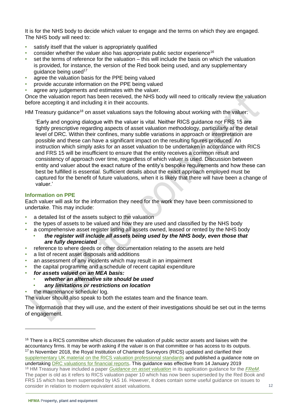It is for the NHS body to decide which valuer to engage and the terms on which they are engaged. The NHS body will need to:

- satisfy itself that the valuer is appropriately qualified
- consider whether the valuer also has appropriate public sector experience<sup>16</sup>
- set the terms of reference for the valuation this will include the basis on which the valuation is provided, for instance, the version of the Red book being used, and any supplementary guidance being used $17$
- agree the valuation basis for the PPE being valued
- provide accurate information on the PPE being valued
- agree any judgements and estimates with the valuer.

Once the valuation report has been received, the NHS body will need to critically review the valuation before accepting it and including it in their accounts.

HM Treasury guidance<sup>18</sup> on asset valuations says the following about working with the valuer:

'Early and ongoing dialogue with the valuer is vital. Neither RICS guidance nor FRS 15 are tightly prescriptive regarding aspects of asset valuation methodology, particularly at the detail level of DRC. Within their confines, many subtle variations in approach or interpretation are possible and these can have a significant impact on the resulting figures produced. An instruction which simply asks for an asset valuation to be undertaken in accordance with RICS and FRS 15 will be insufficient to ensure that the entity receives a common result and consistency of approach over time, regardless of which valuer is used. Discussion between entity and valuer about the exact nature of the entity's bespoke requirements and how these can best be fulfilled is essential. Sufficient details about the exact approach employed must be captured for the benefit of future valuations, when it is likely that there will have been a change of valuer.'

# **Information on PPE**

Each valuer will ask for the information they need for the work they have been commissioned to undertake. This may include:

- a detailed list of the assets subject to the valuation
- the types of assets to be valued and how they are used and classified by the NHS body
- a comprehensive asset register listing all assets owned, leased or rented by the NHS body
	- *the register will include all assets being used by the NHS body, even those that are fully depreciated*
- reference to where deeds or other documentation relating to the assets are held
- a list of recent asset disposals and additions
- an assessment of any incidents which may result in an impairment
- the capital programme and a schedule of recent capital expenditure
- *for assets valued on an MEA basis:*
	- *whether an alternative site should be used*
	- *any limitations or restrictions on location*
- the maintenance schedule/ log.

The valuer should also speak to both the estates team and the finance team.

The information that they will use, and the extent of their investigations should be set out in the terms of engagement.

 $16$  There is a RICS committee which discusses the valuation of public sector assets and liaises with the accountancy firms. It may be worth asking if the valuer is on that committee or has access to its outputs. <sup>17</sup> In November 2018, the Royal Institution of Chartered Surveyors (RICS) updated and clarified their [supplementary UK material on the RICS valuation professional standards](https://www.rics.org/uk/news-insight/latest-news/news-opinion/whats-new-in-the-red-book-supplement/) and published a guidance note on undertaking **DRC** valuations for financial reports. This guidance was effective from 14 January 2019 <sup>18</sup> HM Treasury have included a paper *[Guidance on asset valuation](https://assets.publishing.service.gov.uk/government/uploads/system/uploads/attachment_data/file/328549/guidance_on_asset_valuation.pdf)* in its application guidance for the *[FReM](https://www.gov.uk/government/collections/government-financial-reporting-manual-frem)*. The paper is old as it refers to RICS valuation paper 10 which has now been superseded by the Red Book and FRS 15 which has been superseded by IAS 16. However, it does contain some useful guidance on issues to consider in relation to modern equivalent asset valuations.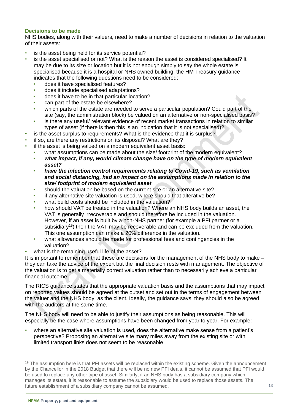# **Decisions to be made**

NHS bodies, along with their valuers, need to make a number of decisions in relation to the valuation of their assets:

- is the asset being held for its service potential?
- is the asset specialised or not? What is the reason the asset is considered specialised? It may be due to its size or location but it is not enough simply to say the whole estate is specialised because it is a hospital or NHS owned building, the HM Treasury guidance indicates that the following questions need to be considered:
	- does it have specialised features?
	- does it include specialised adaptations?
	- does it have to be in that particular location?
	- can part of the estate be elsewhere?
	- which parts of the estate are needed to serve a particular population? Could part of the site (say, the administration block) be valued on an alternative or non-specialised basis?
	- is there any useful/ relevant evidence of recent market transactions in relation to similar types of asset (if there is then this is an indication that it is not specialised)?
- is the asset surplus to requirements? What is the evidence that it is surplus?
- if so, are there any restrictions on its disposal? What are they?
- if the asset is being valued on a modern equivalent asset basis:
	- what assumptions can be made about the size/ footprint of the modern equivalent?
	- *what impact, if any, would climate change have on the type of modern equivalent asset?*
	- *have the infection control requirements relating to Covid-19, such as ventilation and social distancing, had an impact on the assumptions made in relation to the size/ footprint of modern equivalent asset*
	- should the valuation be based on the current site or an alternative site?
	- if any alternative site valuation is used, where should that alterative be?
	- what build costs should be included in the valuation?
	- how should VAT be treated in the valuation? Where an NHS body builds an asset, the VAT is generally irrecoverable and should therefore be included in the valuation. However, if an asset is built by a non-NHS partner (for example a PFI partner or a subsidiary<sup>19</sup>) then the VAT may be recoverable and can be excluded from the valuation. This one assumption can make a 20% difference in the valuation.
	- what allowances should be made for professional fees and contingencies in the valuation?
- what is the remaining useful life of the asset?

It is important to remember that these are decisions for the management of the NHS body to make they can take the advice of the expert but the final decision rests with management. The objective of the valuation is to get a materially correct valuation rather than to necessarily achieve a particular financial outcome.

The RICS guidance states that the appropriate valuation basis and the assumptions that may impact on reported values should be agreed at the outset and set out in the terms of engagement between the valuer and the NHS body, as the client. Ideally, the guidance says, they should also be agreed with the auditors at the same time.

The NHS body will need to be able to justify their assumptions as being reasonable. This will especially be the case where assumptions have been changed from year to year. For example:

• where an alternative site valuation is used, does the alternative make sense from a patient's perspective? Proposing an alternative site many miles away from the existing site or with limited transport links does not seem to be reasonable

<sup>&</sup>lt;sup>19</sup> The assumption here is that PFI assets will be replaced within the existing scheme. Given the announcement by the Chancellor in the 2018 Budget that there will be no new PFI deals, it cannot be assumed that PFI would be used to replace any other type of asset. Similarly, if an NHS body has a subsidiary company which manages its estate, it is reasonable to assume the subsidiary would be used to replace those assets. The future establishment of a subsidiary company cannot be assumed.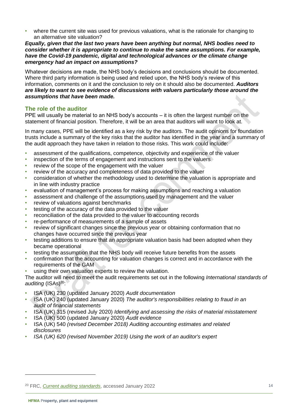• where the current site was used for previous valuations, what is the rationale for changing to an alternative site valuation?

*Equally, given that the last two years have been anything but normal, NHS bodies need to consider whether it is appropriate to continue to make the same assumptions. For example, have the Covid-19 pandemic, digital and technological advances or the climate change emergency had an impact on assumptions?*

Whatever decisions are made, the NHS body's decisions and conclusions should be documented. Where third party information is being used and relied upon, the NHS body's review of this information, comments on it and the conclusion to rely on it should also be documented. *Auditors are likely to want to see evidence of discussions with valuers particularly those around the assumptions that have been made.*

# **The role of the auditor**

PPE will usually be material to an NHS body's accounts – it is often the largest number on the statement of financial position. Therefore, it will be an area that auditors will want to look at.

In many cases, PPE will be identified as a key risk by the auditors. The audit opinions for foundation trusts include a summary of the key risks that the auditor has identified in the year and a summary of the audit approach they have taken in relation to those risks. This work could include:

- assessment of the qualifications, competence, objectivity and experience of the valuer
- inspection of the terms of engagement and instructions sent to the valuers
- review of the scope of the engagement with the valuer
- review of the accuracy and completeness of data provided to the valuer
- consideration of whether the methodology used to determine the valuation is appropriate and in line with industry practice
- evaluation of management's process for making assumptions and reaching a valuation
- assessment and challenge of the assumptions used by management and the valuer
- review of valuations against benchmarks
- testing of the accuracy of the data provided to the valuer
- reconciliation of the data provided to the valuer to accounting records
- re-performance of measurements of a sample of assets
- review of significant changes since the previous year or obtaining conformation that no changes have occurred since the previous year
- testing additions to ensure that an appropriate valuation basis had been adopted when they became operational
- testing the assumption that the NHS body will receive future benefits from the assets
- confirmation that the accounting for valuation changes is correct and in accordance with the requirements of the GAM
- using their own valuation experts to review the valuation.

The auditor will need to meet the audit requirements set out in the following *International standards of*  auditing (ISAs)<sup>20</sup>:

- ISA (UK) 230 (updated January 2020) *Audit documentation*
- ISA (UK) 240 (updated January 2020) *The auditor's responsibilities relating to fraud in an audit of financial statements*
- ISA (UK) 315 (revised July 2020) *Identifying and assessing the risks of material misstatement*
- ISA (UK) 500 (updated January 2020) *Audit evidence*
- ISA (UK) 540 *(revised December 2018) Auditing accounting estimates and related disclosures*
- *ISA (UK) 620 (revised November 2019) Using the work of an auditor's expert*

<sup>20</sup> FRC, *[Current auditing standards](https://www.frc.org.uk/auditors/audit-assurance/standards-and-guidance/current-auditing-standards)*, accessed January 2022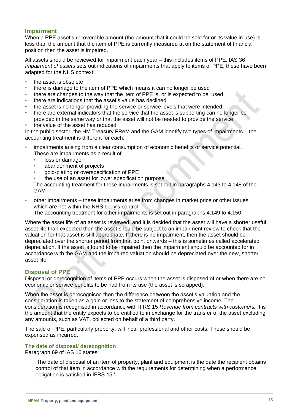# **Impairment**

When a PPE asset's recoverable amount (the amount that it could be sold for or its value in use) is less than the amount that the item of PPE is currently measured at on the statement of financial position then the asset is impaired.

All assets should be reviewed for impairment each year – this includes items of PPE. IAS 36 *Impairment of assets* sets out indications of impairments that apply to items of PPE, these have been adapted for the NHS context:

- the asset is obsolete
- there is damage to the item of PPE which means it can no longer be used
- there are changes to the way that the item of PPE is, or is expected to be, used
- there are indications that the asset's value has declined
- the asset is no longer providing the service or service levels that were intended
- there are external indicators that the service that the asset is supporting can no longer be provided in the same way or that the asset will not be needed to provide the service
- the value of the asset has reduced.

In the public sector, the HM Treasury FReM and the GAM identify two types of impairments – the accounting treatment is different for each:

- impairments arising from a clear consumption of economic benefits or service potential. These are impairments as a result of
	- loss or damage
	- abandonment of projects
	- gold-plating or overspecification of PPE
	- the use of an asset for lower specification purpose

The accounting treatment for these impairments is set out in paragraphs 4.143 to 4.148 of the GAM

• other impairments – these impairments arise from changes in market price or other issues which are not within the NHS body's control

The accounting treatment for other impairments is set out in paragraphs 4.149 to 4.150.

Where the asset life of an asset is reviewed, and it is decided that the asset will have a shorter useful asset life than expected then the asset should be subject to an impairment review to check that the valuation for that asset is still appropriate. If there is no impairment, then the asset should be depreciated over the shorter period from that point onwards – this is sometimes called accelerated depreciation. If the asset is found to be impaired then the impairment should be accounted for in accordance with the GAM and the impaired valuation should be depreciated over the new, shorter asset life.

# **Disposal of PPE**

Disposal or derecognition of items of PPE occurs when the asset is disposed of or when there are no economic or service benefits to be had from its use (the asset is scrapped).

When the asset is derecognised then the difference between the asset's valuation and the consideration is taken as a gain or loss to the statement of comprehensive income. The consideration is recognised in accordance with IFRS 15 *Revenue from contracts with customers.* It is the amount that the entity expects to be entitled to in exchange for the transfer of the asset excluding any amounts, such as VAT, collected on behalf of a third party.

The sale of PPE, particularly property, will incur professional and other costs. These should be expensed as incurred.

#### <span id="page-14-0"></span>**The date of disposal/ derecognition**

Paragraph 69 of IAS 16 states:

'The date of disposal of an item of property, plant and equipment is the date the recipient obtains control of that item in accordance with the requirements for determining when a performance obligation is satisfied in IFRS 15.'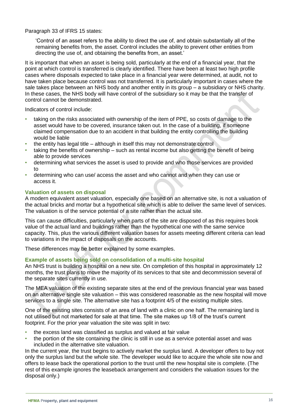Paragraph 33 of IFRS 15 states:

'Control of an asset refers to the ability to direct the use of, and obtain substantially all of the remaining benefits from, the asset. Control includes the ability to prevent other entities from directing the use of, and obtaining the benefits from, an asset.'

It is important that when an asset is being sold, particularly at the end of a financial year, that the point at which control is transferred is clearly identified. There have been at least two high profile cases where disposals expected to take place in a financial year were determined, at audit, not to have taken place because control was not transferred. It is particularly important in cases where the sale takes place between an NHS body and another entity in its group – a subsidiary or NHS charity. In these cases, the NHS body will have control of the subsidiary so it may be that the transfer of control cannot be demonstrated.

Indicators of control include:

- taking on the risks associated with ownership of the item of PPE, so costs of damage to the asset would have to be covered, insurance taken out. In the case of a building, if someone claimed compensation due to an accident in that building the entity controlling the building would be liable
- the entity has legal title although in itself this may not demonstrate control
- taking the benefits of ownership such as rental income but also getting the benefit of being able to provide services
- determining what services the asset is used to provide and who those services are provided to
- determining who can use/ access the asset and who cannot and when they can use or access it.

# **Valuation of assets on disposal**

A modern equivalent asset valuation, especially one based on an alternative site, is not a valuation of the actual bricks and mortar but a hypothetical site which is able to deliver the same level of services. The valuation is of the service potential of a site rather than the actual site.

This can cause difficulties, particularly when parts of the site are disposed of as this requires book value of the actual land and buildings rather than the hypothetical one with the same service capacity. This, plus the various different valuation bases for assets meeting different criteria can lead to variations in the impact of disposals on the accounts.

These differences may be better explained by some examples.

# **Example of assets being sold on consolidation of a multi-site hospital**

An NHS trust is building a hospital on a new site. On completion of this hospital in approximately 12 months, the trust plans to move the majority of its services to that site and decommission several of the separate sites currently in use.

The MEA valuation of the existing separate sites at the end of the previous financial year was based on an alternative single site valuation – this was considered reasonable as the new hospital will move services to a single site. The alternative site has a footprint 4/5 of the existing multiple sites.

One of the existing sites consists of an area of land with a clinic on one half. The remaining land is not utilised but not marketed for sale at that time. The site makes up 1/8 of the trust's current footprint. For the prior year valuation the site was split in two:

- the excess land was classified as surplus and valued at fair value
- the portion of the site containing the clinic is still in use as a service potential asset and was included in the alternative site valuation.

In the current year, the trust begins to actively market the surplus land. A developer offers to buy not only the surplus land but the whole site. The developer would like to acquire the whole site now and offers to lease back the operational portion to the trust until the new hospital site is complete. (The rest of this example ignores the leaseback arrangement and considers the valuation issues for the disposal only.)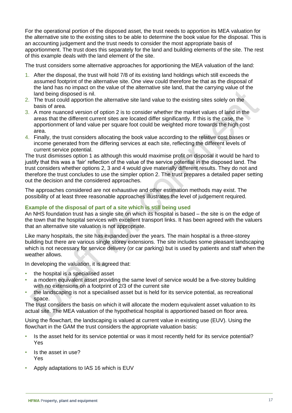For the operational portion of the disposed asset, the trust needs to apportion its MEA valuation for the alternative site to the existing sites to be able to determine the book value for the disposal. This is an accounting judgement and the trust needs to consider the most appropriate basis of apportionment. The trust does this separately for the land and building elements of the site. The rest of this example deals with the land element of the site.

The trust considers some alternative approaches for apportioning the MEA valuation of the land:

- 1. After the disposal, the trust will hold 7/8 of its existing land holdings which still exceeds the assumed footprint of the alternative site. One view could therefore be that as the disposal of the land has no impact on the value of the alternative site land, that the carrying value of the land being disposed is nil.
- 2. The trust could apportion the alternative site land value to the existing sites solely on the basis of area.
- 3. A more nuanced version of option 2 is to consider whether the market values of land in the areas that the different current sites are located differ significantly. If this is the case, the apportionment of land value per square foot could be weighted more towards the high cost area.
- 4. Finally, the trust considers allocating the book value according to the relative cost bases or income generated from the differing services at each site, reflecting the different levels of current service potential.

The trust dismisses option 1 as although this would maximise profit on disposal it would be hard to justify that this was a 'fair' reflection of the value of the service potential in the disposed land. The trust considers whether options 2, 3 and 4 would give materially different results. They do not and therefore the trust concludes to use the simpler option 2. The trust prepares a detailed paper setting out the decision and the considered approaches.

The approaches considered are not exhaustive and other estimation methods may exist. The possibility of at least three reasonable approaches illustrates the level of judgement required.

# **Example of the disposal of part of a site which is still being used**

An NHS foundation trust has a single site on which its hospital is based – the site is on the edge of the town that the hospital services with excellent transport links. It has been agreed with the valuers that an alternative site valuation is not appropriate.

Like many hospitals, the site has expanded over the years. The main hospital is a three-storey building but there are various single storey extensions. The site includes some pleasant landscaping which is not necessary for service delivery (or car parking) but is used by patients and staff when the weather allows.

In developing the valuation, it is agreed that:

- the hospital is a specialised asset
- a modern equivalent asset providing the same level of service would be a five-storey building with no extensions on a footprint of 2/3 of the current site
- the landscaping is not a specialised asset but is held for its service potential, as recreational space.

The trust considers the basis on which it will allocate the modern equivalent asset valuation to its actual site. The MEA valuation of the hypothetical hospital is apportioned based on floor area.

Using the flowchart, the landscaping is valued at current value in existing use (EUV). Using the flowchart in the GAM the trust considers the appropriate valuation basis:

- Is the asset held for its service potential or was it most recently held for its service potential? Yes
- Is the asset in use? Yes
- Apply adaptations to IAS 16 which is EUV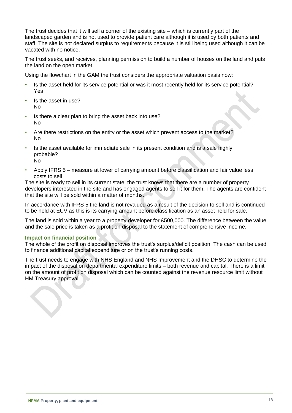The trust decides that it will sell a corner of the existing site – which is currently part of the landscaped garden and is not used to provide patient care although it is used by both patients and staff. The site is not declared surplus to requirements because it is still being used although it can be vacated with no notice.

The trust seeks, and receives, planning permission to build a number of houses on the land and puts the land on the open market.

Using the flowchart in the GAM the trust considers the appropriate valuation basis now:

- Is the asset held for its service potential or was it most recently held for its service potential? Yes
- Is the asset in use? No
- Is there a clear plan to bring the asset back into use? No
- Are there restrictions on the entity or the asset which prevent access to the market? No
- Is the asset available for immediate sale in its present condition and is a sale highly probable? No
- Apply IFRS 5 measure at lower of carrying amount before classification and fair value less costs to sell

The site is ready to sell in its current state, the trust knows that there are a number of property developers interested in the site and has engaged agents to sell it for them. The agents are confident that the site will be sold within a matter of months.

In accordance with IFRS 5 the land is not revalued as a result of the decision to sell and is continued to be held at EUV as this is its carrying amount before classification as an asset held for sale.

The land is sold within a year to a property developer for £500,000. The difference between the value and the sale price is taken as a profit on disposal to the statement of comprehensive income.

# **Impact on financial position**

The whole of the profit on disposal improves the trust's surplus/deficit position. The cash can be used to finance additional capital expenditure or on the trust's running costs.

The trust needs to engage with NHS England and NHS Improvement and the DHSC to determine the impact of the disposal on departmental expenditure limits – both revenue and capital. There is a limit on the amount of profit on disposal which can be counted against the revenue resource limit without HM Treasury approval.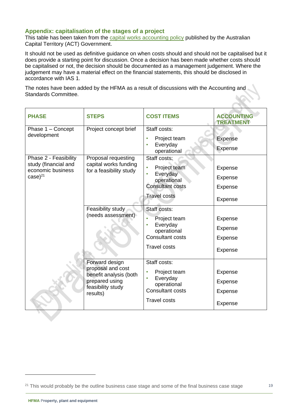# **Appendix: capitalisation of the stages of a project**

This table has been taken from the [capital works accounting policy](https://apps.treasury.act.gov.au/__data/assets/pdf_file/0019/604315/Capital-Works-Policy.pdf) published by the Australian Capital Territory (ACT) Government.

It should not be used as definitive guidance on when costs should and should not be capitalised but it does provide a starting point for discussion. Once a decision has been made whether costs should be capitalised or not, the decision should be documented as a management judgement. Where the judgement may have a material effect on the financial statements, this should be disclosed in accordance with IAS 1.

The notes have been added by the HFMA as a result of discussions with the Accounting and Standards Committee.

| <b>PHASE</b>                                                                       | <b>STEPS</b>                                                                                                     | <b>COST ITEMS</b>                                                                                                                | <b>ACCOUNTING</b><br><b>TREATMENT</b>                      |
|------------------------------------------------------------------------------------|------------------------------------------------------------------------------------------------------------------|----------------------------------------------------------------------------------------------------------------------------------|------------------------------------------------------------|
| Phase 1 - Concept<br>development                                                   | Project concept brief                                                                                            | Staff costs:<br>Project team<br>Everyday<br>operational                                                                          | Expense<br>Expense                                         |
| Phase 2 - Feasibility<br>study (financial and<br>economic business<br>$case)^{21}$ | Proposal requesting<br>capital works funding<br>for a feasibility study                                          | Staff costs:<br>Project team<br>Everyday<br>operational<br><b>Consultant costs</b>                                               | Expense<br>Expense<br>Expense                              |
|                                                                                    | Feasibility study<br>(needs assessment)                                                                          | <b>Travel costs</b><br>Staff costs:<br>Project team<br>Everyday<br>operational<br><b>Consultant costs</b><br><b>Travel costs</b> | Expense<br>Expense<br><b>Expense</b><br>Expense<br>Expense |
|                                                                                    | Forward design<br>proposal and cost<br>benefit analysis (both<br>prepared using<br>feasibility study<br>results) | Staff costs:<br>Project team<br>Everyday<br>operational<br><b>Consultant costs</b><br><b>Travel costs</b>                        | Expense<br>Expense<br>Expense<br><b>Expense</b>            |

<sup>&</sup>lt;sup>21</sup> This would probably be the outline business case stage and some of the final business case stage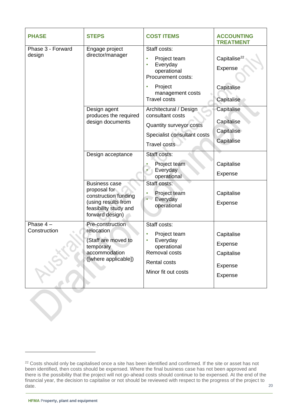| <b>PHASE</b>                | <b>STEPS</b>                                                                                                                                         | <b>COST ITEMS</b>                                                                                                                                                                                                                                        | <b>ACCOUNTING</b><br><b>TREATMENT</b>                                                                     |
|-----------------------------|------------------------------------------------------------------------------------------------------------------------------------------------------|----------------------------------------------------------------------------------------------------------------------------------------------------------------------------------------------------------------------------------------------------------|-----------------------------------------------------------------------------------------------------------|
| Phase 3 - Forward<br>design | Engage project<br>director/manager<br>Design agent<br>produces the required<br>design documents                                                      | Staff costs:<br>Project team<br>Everyday<br>operational<br>Procurement costs:<br>Project<br>$\bullet$<br>management costs<br><b>Travel costs</b><br>Architectural / Design<br>consultant costs<br>Quantity surveyor costs<br>Specialist consultant costs | Capitalise <sup>22</sup><br>Expense<br>Capitalise<br>Capitalise<br>Capitalise<br>Capitalise<br>Capitalise |
|                             |                                                                                                                                                      | <b>Travel costs</b>                                                                                                                                                                                                                                      | Capitalise                                                                                                |
|                             | Design acceptance<br><b>Business case</b><br>proposal for<br>construction funding<br>(using results from<br>feasibility study and<br>forward design) | Staff costs:<br>Project team<br>Everyday<br>operational<br>Staff costs:<br>Project team<br>Everyday<br>operational                                                                                                                                       | Capitalise<br>Expense<br>Capitalise<br>Expense                                                            |
| Phase $4-$<br>Construction  | Pre-construction<br>relocation<br>(Staff are moved to<br>temporary<br>accommodation<br>([where applicable])                                          | Staff costs:<br>Project team<br>Everyday<br>operational<br>Removal costs<br><b>Rental costs</b><br>Minor fit out costs                                                                                                                                   | Capitalise<br>Expense<br>Capitalise<br>Expense<br>Expense                                                 |

<sup>&</sup>lt;sup>22</sup> Costs should only be capitalised once a site has been identified and confirmed. If the site or asset has not been identified, then costs should be expensed. Where the final business case has not been approved and there is the possibility that the project will not go-ahead costs should continue to be expensed. At the end of the financial year, the decision to capitalise or not should be reviewed with respect to the progress of the project to date.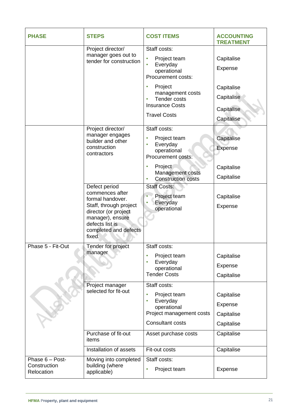| <b>PHASE</b>                                  | <b>STEPS</b>                                                                                                                                                                     | <b>COST ITEMS</b>                                                                                                | <b>ACCOUNTING</b><br><b>TREATMENT</b>                |
|-----------------------------------------------|----------------------------------------------------------------------------------------------------------------------------------------------------------------------------------|------------------------------------------------------------------------------------------------------------------|------------------------------------------------------|
|                                               | Project director/<br>manager goes out to<br>tender for construction                                                                                                              | Staff costs:                                                                                                     |                                                      |
|                                               |                                                                                                                                                                                  | Project team<br>Everyday<br>$\bullet$<br>operational<br>Procurement costs:                                       | Capitalise<br>Expense                                |
|                                               |                                                                                                                                                                                  | Project<br>$\bullet$<br>management costs<br><b>Tender costs</b><br><b>Insurance Costs</b><br><b>Travel Costs</b> | Capitalise<br>Capitalise<br>Capitalise<br>Capitalise |
|                                               | Project director/<br>manager engages<br>builder and other<br>construction<br>contractors                                                                                         | Staff costs:<br>Project team<br>Everyday<br>operational<br>Procurement costs:                                    | Capitalise<br>Expense                                |
|                                               |                                                                                                                                                                                  | Project<br>Management costs<br><b>Construction costs</b>                                                         | Capitalise<br>Capitalise                             |
|                                               | Defect period<br>commences after<br>formal handover.<br>Staff, through project<br>director (or project<br>manager), ensure<br>defects list is<br>completed and defects<br>fixed. | <b>Staff Costs:</b><br>Project team<br>Everyday<br>operational                                                   | Capitalise<br>Expense                                |
| Phase 5 - Fit-Out                             | Tender for project<br>manager                                                                                                                                                    | Staff costs:<br>Project team<br>Everyday<br>operational<br><b>Tender Costs</b>                                   | Capitalise<br>Expense<br>Capitalise                  |
|                                               | Project manager<br>selected for fit-out                                                                                                                                          | Staff costs:<br>Project team<br>Everyday<br>operational<br>Project management costs<br><b>Consultant costs</b>   | Capitalise<br>Expense<br>Capitalise<br>Capitalise    |
|                                               | Purchase of fit-out<br>items                                                                                                                                                     | Asset purchase costs                                                                                             | Capitalise                                           |
|                                               | Installation of assets                                                                                                                                                           | Fit-out costs                                                                                                    | Capitalise                                           |
| Phase 6 - Post-<br>Construction<br>Relocation | Moving into completed<br>building (where<br>applicable)                                                                                                                          | Staff costs:<br>Project team                                                                                     | Expense                                              |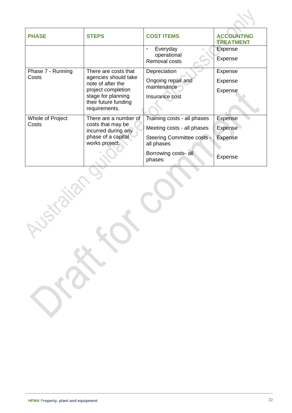| <b>PHASE</b>      | <b>STEPS</b>                                                                     | <b>COST ITEMS</b>                        | <b>ACCOUNTING</b><br><b>TREATMENT</b> |
|-------------------|----------------------------------------------------------------------------------|------------------------------------------|---------------------------------------|
|                   |                                                                                  | Everyday                                 | <b>Expense</b>                        |
|                   |                                                                                  | operational<br>Removal costs             | <b>Expense</b>                        |
| Phase 7 - Running | There are costs that                                                             | Depreciation                             | Expense                               |
| Costs             | agencies should take<br>note of after the                                        | Ongoing repair and                       | <b>Expense</b>                        |
|                   | project completion                                                               | maintenance                              | Expense                               |
|                   | stage for planning                                                               | Insurance cost                           |                                       |
|                   | their future funding<br>requirements.                                            |                                          |                                       |
| Whole of Project  | There are a number of                                                            | Training costs - all phases              | <b>Expense</b>                        |
| Costs             | costs that may be<br>incurred during any<br>phase of a capital<br>works project. | Meeting costs - all phases               | Expense                               |
|                   |                                                                                  | Steering Committee costs -<br>all phases | Expense                               |
|                   |                                                                                  | Borrowing costs- all<br>phases           | <b>Expense</b>                        |

**Price.**